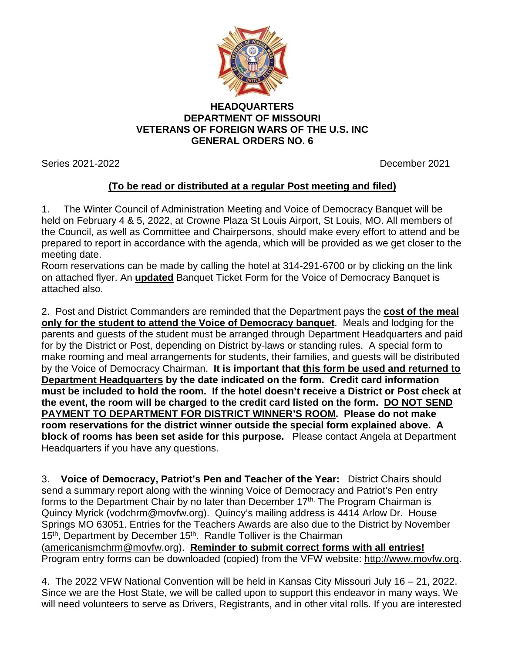

## **HEADQUARTERS DEPARTMENT OF MISSOURI VETERANS OF FOREIGN WARS OF THE U.S. INC GENERAL ORDERS NO. 6**

Series 2021-2022 December 2021

## **(To be read or distributed at a regular Post meeting and filed)**

1. The Winter Council of Administration Meeting and Voice of Democracy Banquet will be held on February 4 & 5, 2022, at Crowne Plaza St Louis Airport, St Louis, MO. All members of the Council, as well as Committee and Chairpersons, should make every effort to attend and be prepared to report in accordance with the agenda, which will be provided as we get closer to the meeting date.

Room reservations can be made by calling the hotel at 314-291-6700 or by clicking on the link on attached flyer. An **updated** Banquet Ticket Form for the Voice of Democracy Banquet is attached also.

2. Post and District Commanders are reminded that the Department pays the **cost of the meal only for the student to attend the Voice of Democracy banquet**. Meals and lodging for the parents and guests of the student must be arranged through Department Headquarters and paid for by the District or Post, depending on District by-laws or standing rules. A special form to make rooming and meal arrangements for students, their families, and guests will be distributed by the Voice of Democracy Chairman. **It is important that this form be used and returned to Department Headquarters by the date indicated on the form. Credit card information must be included to hold the room. If the hotel doesn't receive a District or Post check at the event, the room will be charged to the credit card listed on the form. DO NOT SEND PAYMENT TO DEPARTMENT FOR DISTRICT WINNER'S ROOM. Please do not make room reservations for the district winner outside the special form explained above. A block of rooms has been set aside for this purpose.** Please contact Angela at Department Headquarters if you have any questions.

3. **Voice of Democracy, Patriot's Pen and Teacher of the Year:** District Chairs should send a summary report along with the winning Voice of Democracy and Patriot's Pen entry forms to the Department Chair by no later than December  $17<sup>th</sup>$ . The Program Chairman is Quincy Myrick (vodchrm@movfw.org). Quincy's mailing address is 4414 Arlow Dr. House Springs MO 63051. Entries for the Teachers Awards are also due to the District by November 15<sup>th</sup>, Department by December 15<sup>th</sup>. Randle Tolliver is the Chairman [\(americanismchrm@movfw.](mailto:americanismchrm@movfw)org). **Reminder to submit correct forms with all entries!**  Program entry forms can be downloaded (copied) from the VFW website: [http://www.movfw.org.](http://www.movfw.org/)

4. The 2022 VFW National Convention will be held in Kansas City Missouri July 16 – 21, 2022. Since we are the Host State, we will be called upon to support this endeavor in many ways. We will need volunteers to serve as Drivers, Registrants, and in other vital rolls. If you are interested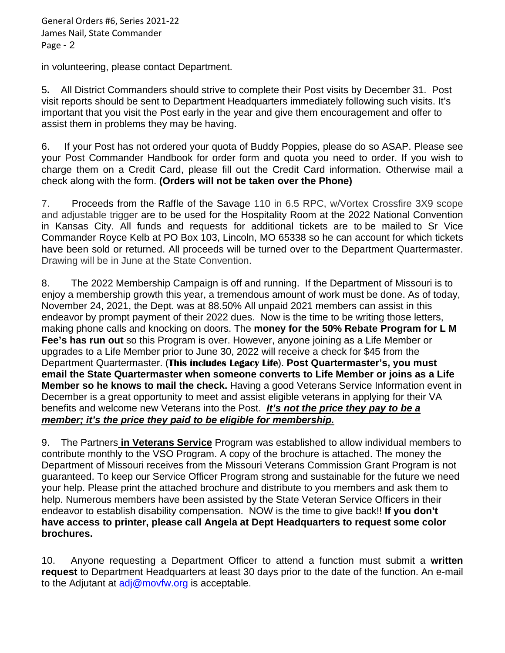in volunteering, please contact Department.

5**.** All District Commanders should strive to complete their Post visits by December 31. Post visit reports should be sent to Department Headquarters immediately following such visits. It's important that you visit the Post early in the year and give them encouragement and offer to assist them in problems they may be having.

6. If your Post has not ordered your quota of Buddy Poppies, please do so ASAP. Please see your Post Commander Handbook for order form and quota you need to order. If you wish to charge them on a Credit Card, please fill out the Credit Card information. Otherwise mail a check along with the form. **(Orders will not be taken over the Phone)**

7. Proceeds from the Raffle of the Savage 110 in 6.5 RPC, w/Vortex Crossfire 3X9 scope and adjustable trigger are to be used for the Hospitality Room at the 2022 National Convention in Kansas City. All funds and requests for additional tickets are to be mailed to Sr Vice Commander Royce Kelb at PO Box 103, Lincoln, MO 65338 so he can account for which tickets have been sold or returned. All proceeds will be turned over to the Department Quartermaster. Drawing will be in June at the State Convention.

8. The 2022 Membership Campaign is off and running. If the Department of Missouri is to enjoy a membership growth this year, a tremendous amount of work must be done. As of today, November 24, 2021, the Dept. was at 88.50% All unpaid 2021 members can assist in this endeavor by prompt payment of their 2022 dues. Now is the time to be writing those letters, making phone calls and knocking on doors. The **money for the 50% Rebate Program for L M Fee's has run out** so this Program is over. However, anyone joining as a Life Member or upgrades to a Life Member prior to June 30, 2022 will receive a check for \$45 from the Department Quartermaster. (**This includes Legacy Life**). **Post Quartermaster's, you must email the State Quartermaster when someone converts to Life Member or joins as a Life Member so he knows to mail the check.** Having a good Veterans Service Information event in December is a great opportunity to meet and assist eligible veterans in applying for their VA benefits and welcome new Veterans into the Post. *It's not the price they pay to be a member; it's the price they paid to be eligible for membership.*

9. The Partners **in Veterans Service** Program was established to allow individual members to contribute monthly to the VSO Program. A copy of the brochure is attached. The money the Department of Missouri receives from the Missouri Veterans Commission Grant Program is not guaranteed. To keep our Service Officer Program strong and sustainable for the future we need your help. Please print the attached brochure and distribute to you members and ask them to help. Numerous members have been assisted by the State Veteran Service Officers in their endeavor to establish disability compensation. NOW is the time to give back!! **If you don't have access to printer, please call Angela at Dept Headquarters to request some color brochures.**

10. Anyone requesting a Department Officer to attend a function must submit a **written request** to Department Headquarters at least 30 days prior to the date of the function. An e-mail to the Adjutant at  $\frac{adj@movfw.org}{complement}$  is acceptable.